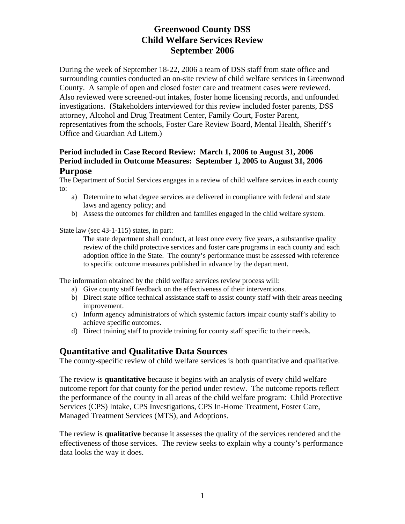During the week of September 18-22, 2006 a team of DSS staff from state office and surrounding counties conducted an on-site review of child welfare services in Greenwood County. A sample of open and closed foster care and treatment cases were reviewed. Also reviewed were screened-out intakes, foster home licensing records, and unfounded investigations. (Stakeholders interviewed for this review included foster parents, DSS attorney, Alcohol and Drug Treatment Center, Family Court, Foster Parent, representatives from the schools, Foster Care Review Board, Mental Health, Sheriff's Office and Guardian Ad Litem.)

#### **Period included in Case Record Review: March 1, 2006 to August 31, 2006 Period included in Outcome Measures: September 1, 2005 to August 31, 2006 Purpose**

The Department of Social Services engages in a review of child welfare services in each county to:

- a) Determine to what degree services are delivered in compliance with federal and state laws and agency policy; and
- b) Assess the outcomes for children and families engaged in the child welfare system.

State law (sec 43-1-115) states, in part:

The state department shall conduct, at least once every five years, a substantive quality review of the child protective services and foster care programs in each county and each adoption office in the State. The county's performance must be assessed with reference to specific outcome measures published in advance by the department.

The information obtained by the child welfare services review process will:

- a) Give county staff feedback on the effectiveness of their interventions.
- b) Direct state office technical assistance staff to assist county staff with their areas needing improvement.
- c) Inform agency administrators of which systemic factors impair county staff's ability to achieve specific outcomes.
- d) Direct training staff to provide training for county staff specific to their needs.

## **Quantitative and Qualitative Data Sources**

The county-specific review of child welfare services is both quantitative and qualitative.

The review is **quantitative** because it begins with an analysis of every child welfare outcome report for that county for the period under review. The outcome reports reflect the performance of the county in all areas of the child welfare program: Child Protective Services (CPS) Intake, CPS Investigations, CPS In-Home Treatment, Foster Care, Managed Treatment Services (MTS), and Adoptions.

The review is **qualitative** because it assesses the quality of the services rendered and the effectiveness of those services. The review seeks to explain why a county's performance data looks the way it does.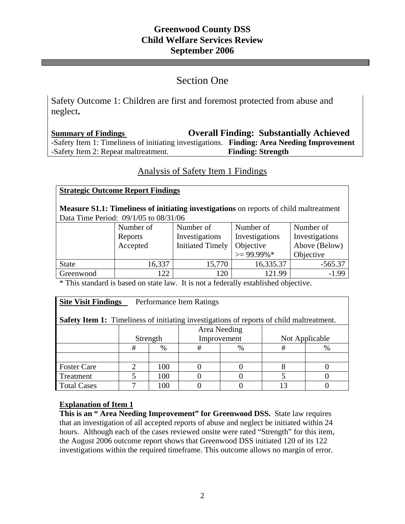# Section One

i<br>I

Safety Outcome 1: Children are first and foremost protected from abuse and neglect**.** 

**Summary of Findings Overall Finding: Substantially Achieved**  -Safety Item 1: Timeliness of initiating investigations. **Finding: Area Needing Improvement**  -Safety Item 2: Repeat maltreatment. **Finding: Strength** 

# Analysis of Safety Item 1 Findings

## **Strategic Outcome Report Findings**

**Measure S1.1: Timeliness of initiating investigations** on reports of child maltreatment Data Time Period: 09/1/05 to 08/31/06

|              | Number of | Number of               | Number of      | Number of      |
|--------------|-----------|-------------------------|----------------|----------------|
|              | Reports   | Investigations          | Investigations | Investigations |
|              | Accepted  | <b>Initiated Timely</b> | Objective      | Above (Below)  |
|              |           |                         | $\geq$ 99.99%* | Objective      |
| <b>State</b> | 16,337    | 15,770                  | 16,335.37      | $-565.37$      |
| Greenwood    | 122       | 120                     | 121.99         | $-1.99$        |

\* This standard is based on state law. It is not a federally established objective.

## **<u>Site Visit Findings</u>** Performance Item Ratings

**Safety Item 1:** Timeliness of initiating investigations of reports of child maltreatment.

|                    |          |        | Area Needing |   |                |      |
|--------------------|----------|--------|--------------|---|----------------|------|
|                    | Strength |        | Improvement  |   | Not Applicable |      |
|                    |          | $\%$   | 开            | % |                | $\%$ |
|                    |          |        |              |   |                |      |
| <b>Foster Care</b> |          | 100    |              |   |                |      |
| Treatment          |          | 100    |              |   |                |      |
| <b>Total Cases</b> |          | $00\,$ |              |   |                |      |

#### **Explanation of Item 1**

This is an "Area Needing Improvement" for Greenwood DSS. State law requires that an investigation of all accepted reports of abuse and neglect be initiated within 24 hours. Although each of the cases reviewed onsite were rated "Strength" for this item, the August 2006 outcome report shows that Greenwood DSS initiated 120 of its 122 investigations within the required timeframe. This outcome allows no margin of error.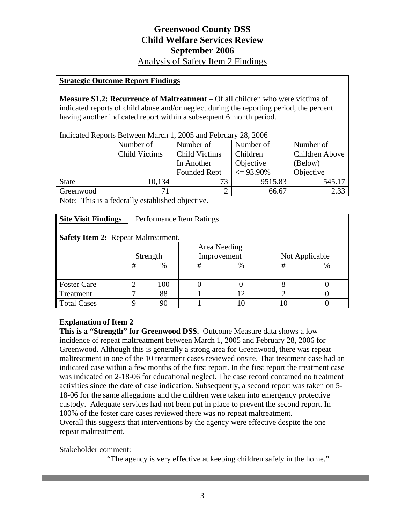Analysis of Safety Item 2 Findings

#### **Strategic Outcome Report Findings**

**Measure S1.2: Recurrence of Maltreatment** – Of all children who were victims of indicated reports of child abuse and/or neglect during the reporting period, the percent having another indicated report within a subsequent 6 month period.

| Indicated Reports Between March 1, 2005 and February 28, 2006 |                      |                         |               |                |  |  |  |  |
|---------------------------------------------------------------|----------------------|-------------------------|---------------|----------------|--|--|--|--|
|                                                               | Number of            | Number of               | Number of     | Number of      |  |  |  |  |
|                                                               | <b>Child Victims</b> | <b>Child Victims</b>    | Children      | Children Above |  |  |  |  |
|                                                               |                      | In Another<br>Objective |               | (Below)        |  |  |  |  |
|                                                               |                      | <b>Founded Rept</b>     | $\leq$ 93.90% | Objective      |  |  |  |  |
| <b>State</b>                                                  | 10,134               |                         | 9515.83       | 545.17         |  |  |  |  |
| Greenwood                                                     | 71                   |                         | 66.67         | 2.33           |  |  |  |  |

Note: This is a federally established objective.

| <b>Site Visit Findings</b><br>Performance Item Ratings |              |      |             |    |                |      |  |  |  |
|--------------------------------------------------------|--------------|------|-------------|----|----------------|------|--|--|--|
| <b>Safety Item 2: Repeat Maltreatment.</b>             |              |      |             |    |                |      |  |  |  |
|                                                        | Area Needing |      |             |    |                |      |  |  |  |
|                                                        | Strength     |      | Improvement |    | Not Applicable |      |  |  |  |
|                                                        | #            | $\%$ | #           | %  | #              | $\%$ |  |  |  |
|                                                        |              |      |             |    |                |      |  |  |  |
| <b>Foster Care</b>                                     | ◠            | 100  |             |    |                |      |  |  |  |
| Treatment                                              |              | 88   |             | 12 |                |      |  |  |  |
| <b>Total Cases</b>                                     |              | 90   |             |    | 10             |      |  |  |  |

#### **Explanation of Item 2**

**This is a "Strength" for Greenwood DSS.** Outcome Measure data shows a low incidence of repeat maltreatment between March 1, 2005 and February 28, 2006 for Greenwood. Although this is generally a strong area for Greenwood, there was repeat maltreatment in one of the 10 treatment cases reviewed onsite. That treatment case had an indicated case within a few months of the first report. In the first report the treatment case was indicated on 2-18-06 for educational neglect. The case record contained no treatment activities since the date of case indication. Subsequently, a second report was taken on 5- 18-06 for the same allegations and the children were taken into emergency protective custody. Adequate services had not been put in place to prevent the second report. In 100% of the foster care cases reviewed there was no repeat maltreatment. Overall this suggests that interventions by the agency were effective despite the one repeat maltreatment.

Stakeholder comment:

"The agency is very effective at keeping children safely in the home."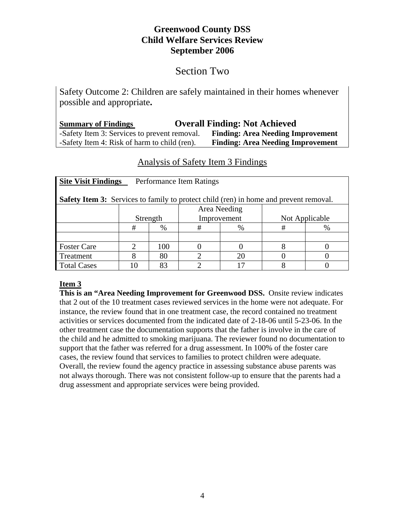# Section Two

Safety Outcome 2: Children are safely maintained in their homes whenever possible and appropriate**.** 

| <b>Summary of Findings</b>                   | <b>Overall Finding: Not Achieved</b>     |
|----------------------------------------------|------------------------------------------|
| -Safety Item 3: Services to prevent removal. | <b>Finding: Area Needing Improvement</b> |
| -Safety Item 4: Risk of harm to child (ren). | <b>Finding: Area Needing Improvement</b> |

# Analysis of Safety Item 3 Findings

| <b>Site Visit Findings</b><br>Performance Item Ratings                                       |              |      |             |      |                |      |  |  |
|----------------------------------------------------------------------------------------------|--------------|------|-------------|------|----------------|------|--|--|
| <b>Safety Item 3:</b> Services to family to protect child (ren) in home and prevent removal. |              |      |             |      |                |      |  |  |
|                                                                                              | Area Needing |      |             |      |                |      |  |  |
|                                                                                              | Strength     |      | Improvement |      | Not Applicable |      |  |  |
|                                                                                              | #            | $\%$ | #           | $\%$ | #              | $\%$ |  |  |
|                                                                                              |              |      |             |      |                |      |  |  |
| <b>Foster Care</b>                                                                           |              | 100  |             |      |                |      |  |  |
| Treatment                                                                                    |              | 80   |             |      |                |      |  |  |
| <b>Total Cases</b>                                                                           |              |      |             |      |                |      |  |  |

## **Item 3**

**This is an "Area Needing Improvement for Greenwood DSS.** Onsite review indicates that 2 out of the 10 treatment cases reviewed services in the home were not adequate. For instance, the review found that in one treatment case, the record contained no treatment activities or services documented from the indicated date of 2-18-06 until 5-23-06. In the other treatment case the documentation supports that the father is involve in the care of the child and he admitted to smoking marijuana. The reviewer found no documentation to support that the father was referred for a drug assessment. In 100% of the foster care cases, the review found that services to families to protect children were adequate. Overall, the review found the agency practice in assessing substance abuse parents was not always thorough. There was not consistent follow-up to ensure that the parents had a drug assessment and appropriate services were being provided.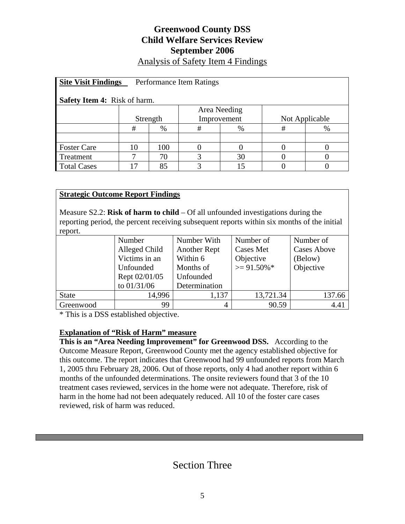# **Greenwood County DSS Child Welfare Services Review September 2006**  Analysis of Safety Item 4 Findings

| <b>Site Visit Findings</b><br>Performance Item Ratings |          |     |             |    |                |   |  |  |  |
|--------------------------------------------------------|----------|-----|-------------|----|----------------|---|--|--|--|
| <b>Safety Item 4:</b> Risk of harm.                    |          |     |             |    |                |   |  |  |  |
| Area Needing                                           |          |     |             |    |                |   |  |  |  |
|                                                        | Strength |     | Improvement |    | Not Applicable |   |  |  |  |
|                                                        | #        | %   | #           | %  | #              | % |  |  |  |
|                                                        |          |     |             |    |                |   |  |  |  |
| <b>Foster Care</b>                                     | $\Omega$ | 100 | 0           |    |                |   |  |  |  |
| Treatment                                              |          | 70  |             | 30 |                |   |  |  |  |
| <b>Total Cases</b>                                     | 17       | 85  |             |    |                |   |  |  |  |

## **Strategic Outcome Report Findings**

Measure S2.2: **Risk of harm to child** – Of all unfounded investigations during the reporting period, the percent receiving subsequent reports within six months of the initial report.

|              | Number        | Number With         | Number of        | Number of          |
|--------------|---------------|---------------------|------------------|--------------------|
|              | Alleged Child | <b>Another Rept</b> | <b>Cases Met</b> | <b>Cases Above</b> |
|              | Victims in an | Within 6            | Objective        | (Below)            |
|              | Unfounded     |                     | $>= 91.50\%$ *   | Objective          |
|              | Rept 02/01/05 | Unfounded           |                  |                    |
|              | to 01/31/06   | Determination       |                  |                    |
| <b>State</b> | 14,996        | 1,137               | 13,721.34        | 137.66             |
| Greenwood    | 99            |                     | 90.59            | 4.41               |

\* This is a DSS established objective.

#### **Explanation of "Risk of Harm" measure**

**This is an "Area Needing Improvement" for Greenwood DSS.** According to the Outcome Measure Report, Greenwood County met the agency established objective for this outcome. The report indicates that Greenwood had 99 unfounded reports from March 1, 2005 thru February 28, 2006. Out of those reports, only 4 had another report within 6 months of the unfounded determinations. The onsite reviewers found that 3 of the 10 treatment cases reviewed, services in the home were not adequate. Therefore, risk of harm in the home had not been adequately reduced. All 10 of the foster care cases reviewed, risk of harm was reduced.

# Section Three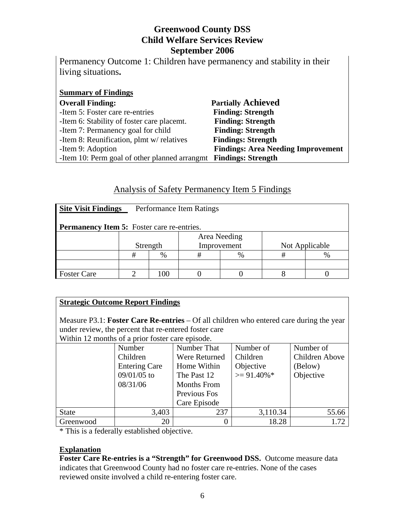| Permanency Outcome 1: Children have permanency and stability in their |                           |
|-----------------------------------------------------------------------|---------------------------|
| living situations.                                                    |                           |
|                                                                       |                           |
| <b>Summary of Findings</b>                                            |                           |
| <b>Overall Finding:</b>                                               | <b>Partially Achieved</b> |
| -Item 5: Foster care re-entries                                       | <b>Finding: Strength</b>  |
| -Item 6: Stability of foster care placemt.                            | <b>Finding: Strength</b>  |

-Item 7: Permanency goal for child **Finding: Strength** 

-Item 8: Reunification, plmt w/ relatives **Findings: Strength**

-Item 9: Adoption **Findings: Area Needing Improvement** -Item 10: Perm goal of other planned arrangmt **Findings: Strength**

# Analysis of Safety Permanency Item 5 Findings

| <b>Site Visit Findings</b><br>Performance Item Ratings |              |      |             |      |                |  |  |  |
|--------------------------------------------------------|--------------|------|-------------|------|----------------|--|--|--|
| <b>Permanency Item 5:</b> Foster care re-entries.      |              |      |             |      |                |  |  |  |
|                                                        | Area Needing |      |             |      |                |  |  |  |
|                                                        | Strength     |      | Improvement |      | Not Applicable |  |  |  |
|                                                        |              | $\%$ | #           | $\%$ |                |  |  |  |
|                                                        |              |      |             |      |                |  |  |  |
| <b>Foster Care</b>                                     |              | 00   |             |      |                |  |  |  |

## **Strategic Outcome Report Findings**

Measure P3.1: **Foster Care Re-entries** – Of all children who entered care during the year under review, the percent that re-entered foster care Within 12 months of a prior foster care episode.

| $\alpha$ radii 12 months of a prior roster care episode. |                      |                    |                |                |  |  |  |  |
|----------------------------------------------------------|----------------------|--------------------|----------------|----------------|--|--|--|--|
|                                                          | Number               | Number That        | Number of      | Number of      |  |  |  |  |
|                                                          | Children             | Were Returned      | Children       | Children Above |  |  |  |  |
|                                                          | <b>Entering Care</b> | Home Within        | Objective      | (Below)        |  |  |  |  |
|                                                          | 09/01/05 to          | The Past 12        | $\geq$ 91.40%* | Objective      |  |  |  |  |
|                                                          | 08/31/06             | <b>Months From</b> |                |                |  |  |  |  |
|                                                          |                      | Previous Fos       |                |                |  |  |  |  |
|                                                          |                      | Care Episode       |                |                |  |  |  |  |
| <b>State</b>                                             | 3,403                | 237                | 3,110.34       | 55.66          |  |  |  |  |
| Greenwood                                                | 20                   |                    | 18.28          | 1.72           |  |  |  |  |

\* This is a federally established objective.

#### **Explanation**

**Foster Care Re-entries is a "Strength" for Greenwood DSS.** Outcome measure data indicates that Greenwood County had no foster care re-entries. None of the cases reviewed onsite involved a child re-entering foster care.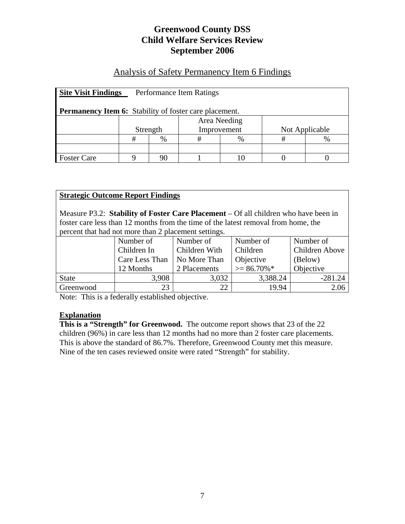# Analysis of Safety Permanency Item 6 Findings

| <b>Site Visit Findings</b><br>Performance Item Ratings        |              |      |             |   |                |  |  |  |
|---------------------------------------------------------------|--------------|------|-------------|---|----------------|--|--|--|
| <b>Permanency Item 6:</b> Stability of foster care placement. |              |      |             |   |                |  |  |  |
|                                                               | Area Needing |      |             |   |                |  |  |  |
|                                                               | Strength     |      | Improvement |   | Not Applicable |  |  |  |
|                                                               | #            | $\%$ | #           | % | #              |  |  |  |
|                                                               |              |      |             |   |                |  |  |  |
| <b>Foster Care</b>                                            |              | 90   |             |   |                |  |  |  |

#### **Strategic Outcome Report Findings**

Measure P3.2: **Stability of Foster Care Placement** – Of all children who have been in foster care less than 12 months from the time of the latest removal from home, the percent that had not more than 2 placement settings.

|              | Number of      | Number of     | Number of      | Number of             |
|--------------|----------------|---------------|----------------|-----------------------|
|              | Children In    | Children With | Children       | <b>Children Above</b> |
|              | Care Less Than | No More Than  | Objective      | (Below)               |
|              | 12 Months      | 2 Placements  | $\geq$ 86.70%* | Objective             |
| <b>State</b> | 3,908          | 3,032         | 3,388.24       | $-281.24$             |
| Greenwood    | 23             | 22            | 19.94          | 2.06                  |

Note: This is a federally established objective.

#### **Explanation**

This is a "Strength" for Greenwood. The outcome report shows that 23 of the 22 children (96%) in care less than 12 months had no more than 2 foster care placements. This is above the standard of 86.7%. Therefore, Greenwood County met this measure. Nine of the ten cases reviewed onsite were rated "Strength" for stability.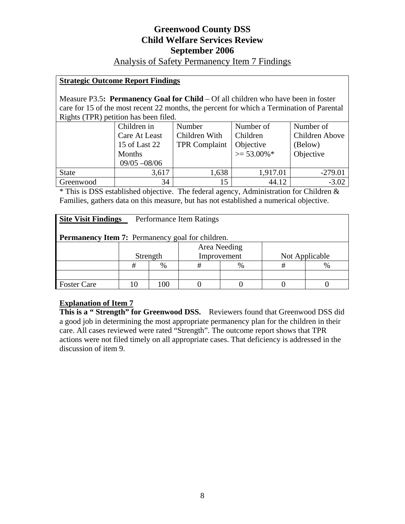## Analysis of Safety Permanency Item 7 Findings

#### **Strategic Outcome Report Findings**

Measure P3.5**: Permanency Goal for Child** – Of all children who have been in foster care for 15 of the most recent 22 months, the percent for which a Termination of Parental Rights (TPR) petition has been filed.

|              | Children in     | Number               | Number of        | Number of      |
|--------------|-----------------|----------------------|------------------|----------------|
|              | Care At Least   | Children With        | Children         | Children Above |
|              | 15 of Last 22   | <b>TPR Complaint</b> | Objective        | (Below)        |
|              | Months          |                      | $\geq 53.00\%$ * | Objective      |
|              | $09/05 - 08/06$ |                      |                  |                |
| <b>State</b> | 3,617           | 1,638                | 1,917.01         | $-279.01$      |
| Greenwood    | 34              | 15                   | 44.12            | $-3.02$        |

\* This is DSS established objective. The federal agency, Administration for Children & Families, gathers data on this measure, but has not established a numerical objective.

| <b>Site Visit Findings</b><br>Performance Item Ratings  |          |              |             |      |                |      |  |  |
|---------------------------------------------------------|----------|--------------|-------------|------|----------------|------|--|--|
| <b>Permanency Item 7:</b> Permanency goal for children. |          |              |             |      |                |      |  |  |
|                                                         |          | Area Needing |             |      |                |      |  |  |
|                                                         | Strength |              | Improvement |      | Not Applicable |      |  |  |
|                                                         | #        | $\%$         | #           | $\%$ | #              | $\%$ |  |  |
|                                                         |          |              |             |      |                |      |  |  |
| <b>Foster Care</b>                                      |          | 00           |             |      |                |      |  |  |

#### **Explanation of Item 7**

This is a "Strength" for Greenwood DSS. Reviewers found that Greenwood DSS did a good job in determining the most appropriate permanency plan for the children in their care. All cases reviewed were rated "Strength". The outcome report shows that TPR actions were not filed timely on all appropriate cases. That deficiency is addressed in the discussion of item 9.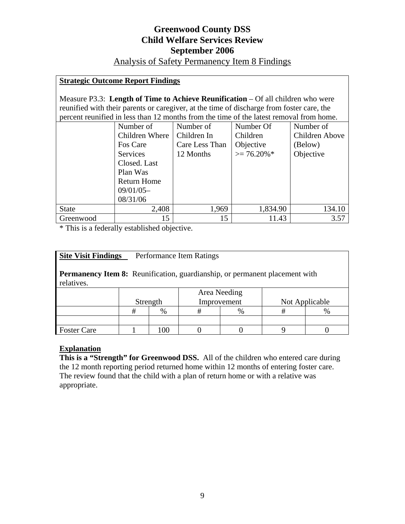## Analysis of Safety Permanency Item 8 Findings

### **Strategic Outcome Report Findings**

Measure P3.3: **Length of Time to Achieve Reunification** – Of all children who were reunified with their parents or caregiver, at the time of discharge from foster care, the percent reunified in less than 12 months from the time of the latest removal from home.

|              | Number of          | Number of      | Number Of      | Number of      |
|--------------|--------------------|----------------|----------------|----------------|
|              | Children Where     | Children In    | Children       | Children Above |
|              | Fos Care           | Care Less Than | Objective      | (Below)        |
|              | Services           | 12 Months      | $\geq$ 76.20%* | Objective      |
|              | Closed. Last       |                |                |                |
|              | Plan Was           |                |                |                |
|              | <b>Return Home</b> |                |                |                |
|              | $09/01/05-$        |                |                |                |
|              | 08/31/06           |                |                |                |
| <b>State</b> | 2,408              | 1,969          | 1,834.90       | 134.10         |
| Greenwood    | 15                 | 15             | 11.43          | 3.57           |

\* This is a federally established objective.

| <b>Site Visit Findings</b><br>Performance Item Ratings                                    |          |      |              |      |                |      |  |  |
|-------------------------------------------------------------------------------------------|----------|------|--------------|------|----------------|------|--|--|
| Permanency Item 8: Reunification, guardianship, or permanent placement with<br>relatives. |          |      |              |      |                |      |  |  |
|                                                                                           | Strength |      | Area Needing |      | Not Applicable |      |  |  |
|                                                                                           |          |      | Improvement  |      |                |      |  |  |
|                                                                                           | #        | $\%$ | #            | $\%$ | #              | $\%$ |  |  |
|                                                                                           |          |      |              |      |                |      |  |  |
| <b>Foster Care</b>                                                                        |          | 100  |              |      |                |      |  |  |

#### **Explanation**

**This is a "Strength" for Greenwood DSS.** All of the children who entered care during the 12 month reporting period returned home within 12 months of entering foster care. The review found that the child with a plan of return home or with a relative was appropriate.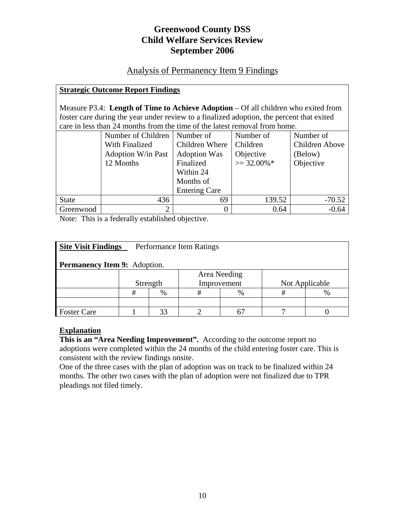## Analysis of Permanency Item 9 Findings

### **Strategic Outcome Report Findings**

Measure P3.4: **Length of Time to Achieve Adoption** – Of all children who exited from foster care during the year under review to a finalized adoption, the percent that exited care in less than 24 months from the time of the latest removal from home.

|              | Number of Children        | Number of            | Number of      | Number of      |  |  |  |  |  |
|--------------|---------------------------|----------------------|----------------|----------------|--|--|--|--|--|
|              | With Finalized            | Children Where       | Children       | Children Above |  |  |  |  |  |
|              | <b>Adoption W/in Past</b> | <b>Adoption Was</b>  | Objective      | (Below)        |  |  |  |  |  |
|              | 12 Months                 | Finalized            | $\geq$ 32.00%* | Objective      |  |  |  |  |  |
|              |                           | Within 24            |                |                |  |  |  |  |  |
|              |                           | Months of            |                |                |  |  |  |  |  |
|              |                           | <b>Entering Care</b> |                |                |  |  |  |  |  |
| <b>State</b> | 436                       | 69                   | 139.52         | $-70.52$       |  |  |  |  |  |
| Greenwood    | $\overline{2}$            |                      | 0.64           | $-0.64$        |  |  |  |  |  |

Note: This is a federally established objective.

| <b>Site Visit Findings</b><br>Performance Item Ratings |          |              |             |      |                |  |  |  |
|--------------------------------------------------------|----------|--------------|-------------|------|----------------|--|--|--|
| <b>Permanency Item 9:</b> Adoption.                    |          |              |             |      |                |  |  |  |
|                                                        |          | Area Needing |             |      |                |  |  |  |
|                                                        | Strength |              | Improvement |      | Not Applicable |  |  |  |
|                                                        | #        | $\%$         | #           | $\%$ | #              |  |  |  |
|                                                        |          |              |             |      |                |  |  |  |
| <b>Foster Care</b>                                     |          |              |             |      |                |  |  |  |

#### **Explanation**

**This is an "Area Needing Improvement".** According to the outcome report no adoptions were completed within the 24 months of the child entering foster care. This is consistent with the review findings onsite.

One of the three cases with the plan of adoption was on track to be finalized within 24 months. The other two cases with the plan of adoption were not finalized due to TPR pleadings not filed timely.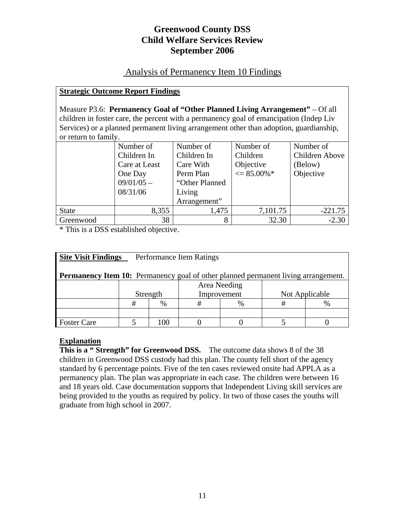## Analysis of Permanency Item 10 Findings

#### **Strategic Outcome Report Findings**

Measure P3.6: **Permanency Goal of "Other Planned Living Arrangement"** – Of all children in foster care, the percent with a permanency goal of emancipation (Indep Liv Services) or a planned permanent living arrangement other than adoption, guardianship, or return to family.

|              | Number of     | Number of       | Number of              | Number of      |
|--------------|---------------|-----------------|------------------------|----------------|
|              | Children In   | Children In     | Children               | Children Above |
|              | Care at Least | Care With       | Objective              | (Below)        |
|              | One Day       | Perm Plan       | $\epsilon = 85.00\%$ * | Objective      |
|              | $09/01/05 -$  | "Other Planned" |                        |                |
|              | 08/31/06      | Living          |                        |                |
|              |               | Arrangement"    |                        |                |
| <b>State</b> | 8,355         | 1,475           | 7,101.75               | $-221.75$      |
| Greenwood    | 38            | 8               | 32.30                  | $-2.30$        |

\* This is a DSS established objective.

| <b>Site Visit Findings</b><br>Performance Item Ratings                                    |              |      |             |               |                |  |  |  |
|-------------------------------------------------------------------------------------------|--------------|------|-------------|---------------|----------------|--|--|--|
| <b>Permanency Item 10:</b> Permanency goal of other planned permanent living arrangement. |              |      |             |               |                |  |  |  |
|                                                                                           | Area Needing |      |             |               |                |  |  |  |
|                                                                                           | Strength     |      | Improvement |               | Not Applicable |  |  |  |
|                                                                                           | #            | $\%$ | #           | $\frac{0}{0}$ | #              |  |  |  |
|                                                                                           |              |      |             |               |                |  |  |  |
| <b>Foster Care</b>                                                                        |              | ന    |             |               |                |  |  |  |

#### **Explanation**

**This is a "Strength" for Greenwood DSS.** The outcome data shows 8 of the 38 children in Greenwood DSS custody had this plan. The county fell short of the agency standard by 6 percentage points. Five of the ten cases reviewed onsite had APPLA as a permanency plan. The plan was appropriate in each case. The children were between 16 and 18 years old. Case documentation supports that Independent Living skill services are being provided to the youths as required by policy. In two of those cases the youths will graduate from high school in 2007.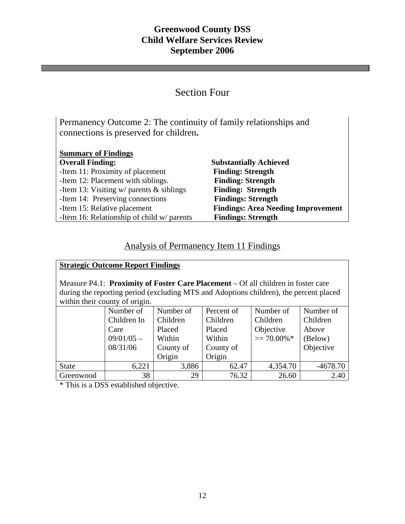# Section Four

Permanency Outcome 2: The continuity of family relationships and connections is preserved for children**.** 

| <b>Summary of Findings</b>                    |                                           |
|-----------------------------------------------|-------------------------------------------|
| <b>Overall Finding:</b>                       | <b>Substantially Achieved</b>             |
| -Item 11: Proximity of placement              | <b>Finding: Strength</b>                  |
| -Item 12: Placement with siblings.            | <b>Finding: Strength</b>                  |
| -Item 13: Visiting $w/$ parents $\&$ siblings | <b>Finding: Strength</b>                  |
| -Item 14: Preserving connections              | <b>Findings: Strength</b>                 |
| -Item 15: Relative placement                  | <b>Findings: Area Needing Improvement</b> |
| -Item 16: Relationship of child w/ parents    | <b>Findings: Strength</b>                 |

# Analysis of Permanency Item 11 Findings

| <b>Strategic Outcome Report Findings</b>                                                                                                                                                                      |                          |                       |                        |                       |                       |  |  |  |
|---------------------------------------------------------------------------------------------------------------------------------------------------------------------------------------------------------------|--------------------------|-----------------------|------------------------|-----------------------|-----------------------|--|--|--|
| Measure P4.1: Proximity of Foster Care Placement – Of all children in foster care<br>during the reporting period (excluding MTS and Adoptions children), the percent placed<br>within their county of origin. |                          |                       |                        |                       |                       |  |  |  |
|                                                                                                                                                                                                               | Number of<br>Children In | Number of<br>Children | Percent of<br>Children | Number of<br>Children | Number of<br>Children |  |  |  |
|                                                                                                                                                                                                               | Care                     | Placed                | Placed                 | Objective             | Above                 |  |  |  |
|                                                                                                                                                                                                               | $09/01/05 -$             | Within                | Within                 | $\geq$ 70.00%*        | (Below)               |  |  |  |
|                                                                                                                                                                                                               | 08/31/06                 | County of             | County of              |                       | Objective             |  |  |  |
|                                                                                                                                                                                                               |                          | Origin                | Origin                 |                       |                       |  |  |  |
| <b>State</b>                                                                                                                                                                                                  | 6,221                    | 3,886                 | 62.47                  | 4,354.70              | $-4678.70$            |  |  |  |
| Greenwood                                                                                                                                                                                                     | 38                       | 29                    | 76.32                  | 26.60                 | 2.40                  |  |  |  |

\* This is a DSS established objective.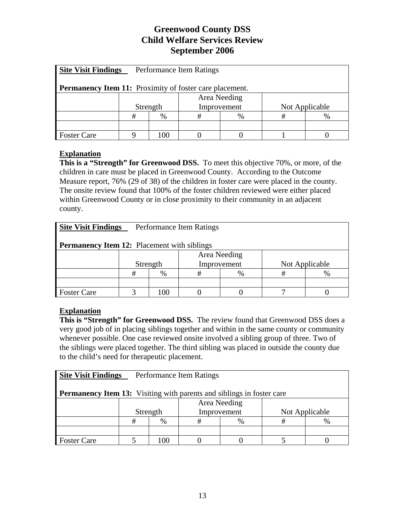| <b>Site Visit Findings</b><br>Performance Item Ratings         |          |              |             |               |                |  |  |  |
|----------------------------------------------------------------|----------|--------------|-------------|---------------|----------------|--|--|--|
| <b>Permanency Item 11:</b> Proximity of foster care placement. |          |              |             |               |                |  |  |  |
|                                                                |          | Area Needing |             |               |                |  |  |  |
|                                                                | Strength |              | Improvement |               | Not Applicable |  |  |  |
|                                                                | #        | %            | #           | $\frac{0}{0}$ | #              |  |  |  |
|                                                                |          |              |             |               |                |  |  |  |
| <b>Foster Care</b>                                             |          | 00           |             |               |                |  |  |  |

## **Explanation**

**This is a "Strength" for Greenwood DSS.** To meet this objective 70%, or more, of the children in care must be placed in Greenwood County. According to the Outcome Measure report, 76% (29 of 38) of the children in foster care were placed in the county. The onsite review found that 100% of the foster children reviewed were either placed within Greenwood County or in close proximity to their community in an adjacent county.

| <b>Site Visit Findings</b><br>Performance Item Ratings |          |      |              |   |                |      |  |  |
|--------------------------------------------------------|----------|------|--------------|---|----------------|------|--|--|
| <b>Permanency Item 12:</b> Placement with siblings     |          |      |              |   |                |      |  |  |
|                                                        |          |      | Area Needing |   |                |      |  |  |
|                                                        | Strength |      | Improvement  |   | Not Applicable |      |  |  |
|                                                        | #        | $\%$ | #            | % | #              | $\%$ |  |  |
|                                                        |          |      |              |   |                |      |  |  |
| <b>Foster Care</b>                                     |          | 00   |              |   |                |      |  |  |

## **Explanation**

**This is "Strength" for Greenwood DSS.** The review found that Greenwood DSS does a very good job of in placing siblings together and within in the same county or community whenever possible. One case reviewed onsite involved a sibling group of three. Two of the siblings were placed together. The third sibling was placed in outside the county due to the child's need for therapeutic placement.

| <b>Site Visit Findings</b><br>Performance Item Ratings                       |          |      |             |              |                |  |  |  |
|------------------------------------------------------------------------------|----------|------|-------------|--------------|----------------|--|--|--|
| <b>Permanency Item 13:</b> Visiting with parents and siblings in foster care |          |      |             |              |                |  |  |  |
|                                                                              |          |      |             | Area Needing |                |  |  |  |
|                                                                              | Strength |      | Improvement |              | Not Applicable |  |  |  |
|                                                                              | #        | $\%$ | #           | $\%$         | #              |  |  |  |
|                                                                              |          |      |             |              |                |  |  |  |
| <b>Foster Care</b>                                                           |          | ററ   |             |              |                |  |  |  |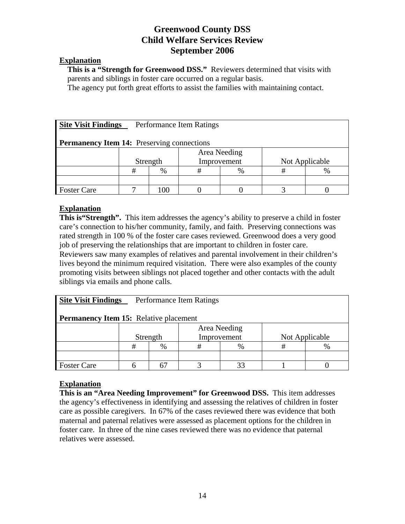#### **Explanation**

**This is a "Strength for Greenwood DSS."** Reviewers determined that visits with parents and siblings in foster care occurred on a regular basis.

The agency put forth great efforts to assist the families with maintaining contact.

| <b>Site Visit Findings</b><br>Performance Item Ratings |              |      |             |      |                |      |  |  |
|--------------------------------------------------------|--------------|------|-------------|------|----------------|------|--|--|
| <b>Permanency Item 14:</b> Preserving connections      |              |      |             |      |                |      |  |  |
|                                                        | Area Needing |      |             |      |                |      |  |  |
|                                                        | Strength     |      | Improvement |      | Not Applicable |      |  |  |
|                                                        | #            | $\%$ | #           | $\%$ | #              | $\%$ |  |  |
|                                                        |              |      |             |      |                |      |  |  |
| <b>Foster Care</b>                                     |              | 00   |             |      |                |      |  |  |

#### **Explanation**

**This is "Strength".** This item addresses the agency's ability to preserve a child in foster care's connection to his/her community, family, and faith. Preserving connections was rated strength in 100 % of the foster care cases reviewed. Greenwood does a very good job of preserving the relationships that are important to children in foster care. Reviewers saw many examples of relatives and parental involvement in their children's lives beyond the minimum required visitation. There were also examples of the county promoting visits between siblings not placed together and other contacts with the adult siblings via emails and phone calls.

| <b>Site Visit Findings</b><br>Performance Item Ratings |          |      |              |  |                |  |  |  |
|--------------------------------------------------------|----------|------|--------------|--|----------------|--|--|--|
| <b>Permanency Item 15:</b> Relative placement          |          |      |              |  |                |  |  |  |
|                                                        |          |      | Area Needing |  |                |  |  |  |
|                                                        | Strength |      | Improvement  |  | Not Applicable |  |  |  |
|                                                        | #        | $\%$ | #            |  | #              |  |  |  |
|                                                        |          |      |              |  |                |  |  |  |
| <b>Foster Care</b>                                     |          |      |              |  |                |  |  |  |

#### **Explanation**

**This is an "Area Needing Improvement" for Greenwood DSS.** This item addresses the agency's effectiveness in identifying and assessing the relatives of children in foster care as possible caregivers. In 67% of the cases reviewed there was evidence that both maternal and paternal relatives were assessed as placement options for the children in foster care. In three of the nine cases reviewed there was no evidence that paternal relatives were assessed.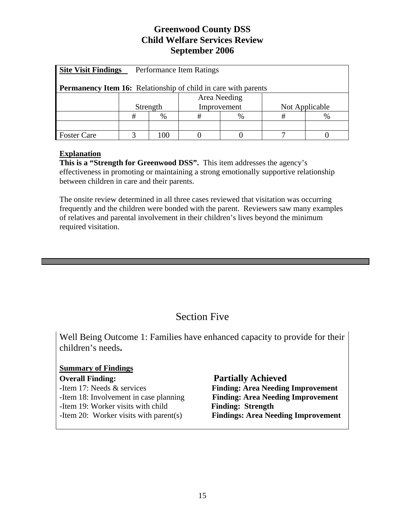| <b>Site Visit Findings</b><br>Performance Item Ratings                |          |      |             |              |                |  |  |  |
|-----------------------------------------------------------------------|----------|------|-------------|--------------|----------------|--|--|--|
| <b>Permanency Item 16:</b> Relationship of child in care with parents |          |      |             |              |                |  |  |  |
|                                                                       |          |      |             | Area Needing |                |  |  |  |
|                                                                       | Strength |      | Improvement |              | Not Applicable |  |  |  |
|                                                                       | #        | $\%$ | #           | $\%$         | #              |  |  |  |
|                                                                       |          |      |             |              |                |  |  |  |
| <b>Foster Care</b>                                                    |          | იი   |             |              |                |  |  |  |

#### **Explanation**

**This is a "Strength for Greenwood DSS".** This item addresses the agency's effectiveness in promoting or maintaining a strong emotionally supportive relationship between children in care and their parents.

The onsite review determined in all three cases reviewed that visitation was occurring frequently and the children were bonded with the parent. Reviewers saw many examples of relatives and parental involvement in their children's lives beyond the minimum required visitation.

# Section Five

Well Being Outcome 1: Families have enhanced capacity to provide for their children's needs**.** 

#### **Summary of Findings**

-Item 19: Worker visits with child **Finding: Strength** 

#### **Overall Finding:** Partially Achieved

-Item 17: Needs & services **Finding: Area Needing Improvement**  -Item 18: Involvement in case planning **Finding: Area Needing Improvement** -Item 20: Worker visits with parent(s) **Findings: Area Needing Improvement**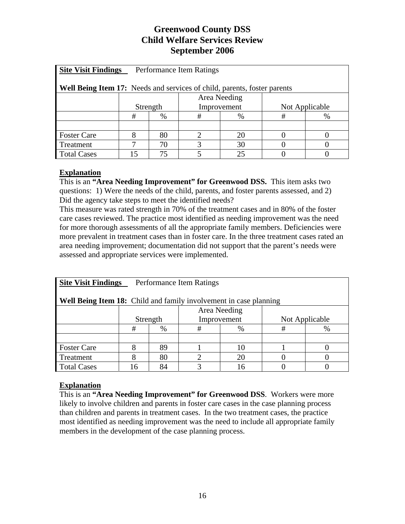| <b>Site Visit Findings</b><br>Performance Item Ratings                   |          |              |             |    |                |   |  |  |  |
|--------------------------------------------------------------------------|----------|--------------|-------------|----|----------------|---|--|--|--|
| Well Being Item 17: Needs and services of child, parents, foster parents |          |              |             |    |                |   |  |  |  |
|                                                                          |          | Area Needing |             |    |                |   |  |  |  |
|                                                                          | Strength |              | Improvement |    | Not Applicable |   |  |  |  |
|                                                                          | #        | %            | #           | %  | #              | % |  |  |  |
|                                                                          |          |              |             |    |                |   |  |  |  |
| <b>Foster Care</b>                                                       |          | 80           |             | 20 |                |   |  |  |  |
| Treatment                                                                |          | 70<br>30     |             |    |                |   |  |  |  |
| <b>Total Cases</b>                                                       | ۱5       | 75           |             |    |                |   |  |  |  |

## **Explanation**

This is an **"Area Needing Improvement" for Greenwood DSS.** This item asks two questions: 1) Were the needs of the child, parents, and foster parents assessed, and 2) Did the agency take steps to meet the identified needs?

This measure was rated strength in 70% of the treatment cases and in 80% of the foster care cases reviewed. The practice most identified as needing improvement was the need for more thorough assessments of all the appropriate family members. Deficiencies were more prevalent in treatment cases than in foster care. In the three treatment cases rated an area needing improvement; documentation did not support that the parent's needs were assessed and appropriate services were implemented.

| <b>Site Visit Findings</b><br>Performance Item Ratings                   |          |              |             |   |                |   |  |  |  |
|--------------------------------------------------------------------------|----------|--------------|-------------|---|----------------|---|--|--|--|
| <b>Well Being Item 18:</b> Child and family involvement in case planning |          |              |             |   |                |   |  |  |  |
|                                                                          |          | Area Needing |             |   |                |   |  |  |  |
|                                                                          | Strength |              | Improvement |   | Not Applicable |   |  |  |  |
|                                                                          | #        | $\%$         | #           | % | #              | % |  |  |  |
|                                                                          |          |              |             |   |                |   |  |  |  |
| <b>Foster Care</b>                                                       |          | 89           |             |   |                |   |  |  |  |
| Treatment                                                                |          | 80<br>20     |             |   |                |   |  |  |  |
| <b>Total Cases</b>                                                       | 16       | 84           |             |   |                |   |  |  |  |

#### **Explanation**

This is an **"Area Needing Improvement" for Greenwood DSS**. Workers were more likely to involve children and parents in foster care cases in the case planning process than children and parents in treatment cases. In the two treatment cases, the practice most identified as needing improvement was the need to include all appropriate family members in the development of the case planning process.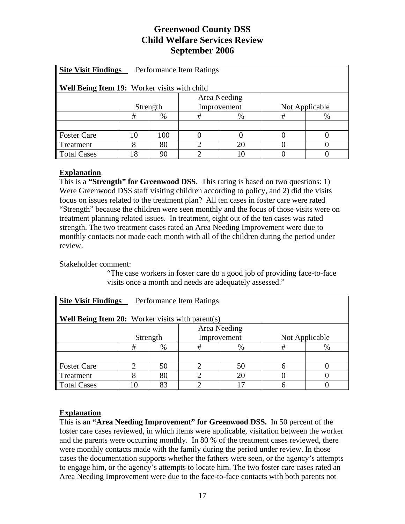| <b>Site Visit Findings</b><br>Performance Item Ratings |          |          |             |      |                |   |  |  |
|--------------------------------------------------------|----------|----------|-------------|------|----------------|---|--|--|
| Well Being Item 19: Worker visits with child           |          |          |             |      |                |   |  |  |
| Area Needing                                           |          |          |             |      |                |   |  |  |
|                                                        | Strength |          | Improvement |      | Not Applicable |   |  |  |
|                                                        | #        | $\%$     | #           | $\%$ | #              | % |  |  |
|                                                        |          |          |             |      |                |   |  |  |
| <b>Foster Care</b>                                     | 10       | 100      |             |      |                |   |  |  |
| Treatment                                              |          | 80<br>20 |             |      |                |   |  |  |
| <b>Total Cases</b>                                     | ، 8      | 90       |             |      |                |   |  |  |

## **Explanation**

This is a **"Strength" for Greenwood DSS**. This rating is based on two questions: 1) Were Greenwood DSS staff visiting children according to policy, and 2) did the visits focus on issues related to the treatment plan? All ten cases in foster care were rated "Strength" because the children were seen monthly and the focus of those visits were on treatment planning related issues. In treatment, eight out of the ten cases was rated strength. The two treatment cases rated an Area Needing Improvement were due to monthly contacts not made each month with all of the children during the period under review.

Stakeholder comment:

"The case workers in foster care do a good job of providing face-to-face visits once a month and needs are adequately assessed."

| <b>Site Visit Findings</b><br>Performance Item Ratings |              |                            |             |    |                |   |  |  |  |
|--------------------------------------------------------|--------------|----------------------------|-------------|----|----------------|---|--|--|--|
| Well Being Item 20: Worker visits with parent(s)       |              |                            |             |    |                |   |  |  |  |
|                                                        | Area Needing |                            |             |    |                |   |  |  |  |
|                                                        | Strength     |                            | Improvement |    | Not Applicable |   |  |  |  |
|                                                        | #            | $\%$                       | #           | %  | #              | % |  |  |  |
|                                                        |              |                            |             |    |                |   |  |  |  |
| <b>Foster Care</b>                                     |              | 50                         | റ           | 50 | h              |   |  |  |  |
| Treatment                                              |              | $\overline{2}$<br>80<br>20 |             |    |                |   |  |  |  |
| <b>Total Cases</b>                                     | 10           | 83                         |             |    |                |   |  |  |  |

## **Explanation**

This is an **"Area Needing Improvement" for Greenwood DSS.** In 50 percent of the foster care cases reviewed, in which items were applicable, visitation between the worker and the parents were occurring monthly. In 80 % of the treatment cases reviewed, there were monthly contacts made with the family during the period under review. In those cases the documentation supports whether the fathers were seen, or the agency's attempts to engage him, or the agency's attempts to locate him. The two foster care cases rated an Area Needing Improvement were due to the face-to-face contacts with both parents not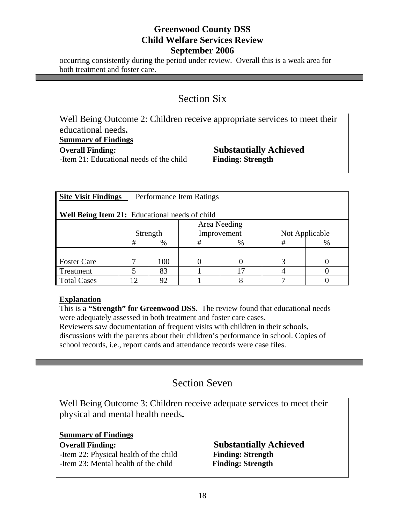occurring consistently during the period under review. Overall this is a weak area for both treatment and foster care.

# Section Six

Well Being Outcome 2: Children receive appropriate services to meet their educational needs**. Summary of Findings Overall Finding: Substantially Achieved** -Item 21: Educational needs of the child **Finding: Strength**

| <b>Site Visit Findings</b><br>Performance Item Ratings |              |              |             |      |                |   |  |  |  |
|--------------------------------------------------------|--------------|--------------|-------------|------|----------------|---|--|--|--|
| <b>Well Being Item 21:</b> Educational needs of child  |              |              |             |      |                |   |  |  |  |
|                                                        |              | Area Needing |             |      |                |   |  |  |  |
|                                                        | Strength     |              | Improvement |      | Not Applicable |   |  |  |  |
|                                                        | #            | $\%$         | #           | $\%$ | #              | % |  |  |  |
|                                                        |              |              |             |      |                |   |  |  |  |
| <b>Foster Care</b>                                     |              | 100          |             |      |                |   |  |  |  |
| Treatment                                              |              | 83           |             |      |                |   |  |  |  |
| <b>Total Cases</b>                                     | $12^{\circ}$ | 92           |             |      |                |   |  |  |  |

#### **Explanation**

This is a **"Strength" for Greenwood DSS.** The review found that educational needs were adequately assessed in both treatment and foster care cases.

Reviewers saw documentation of frequent visits with children in their schools, discussions with the parents about their children's performance in school. Copies of school records, i.e., report cards and attendance records were case files.

# Section Seven

Well Being Outcome 3: Children receive adequate services to meet their physical and mental health needs**.** 

**Summary of Findings Overall Finding: Substantially Achieved** -Item 22: Physical health of the child **Finding: Strength**  -Item 23: Mental health of the child **Finding: Strength**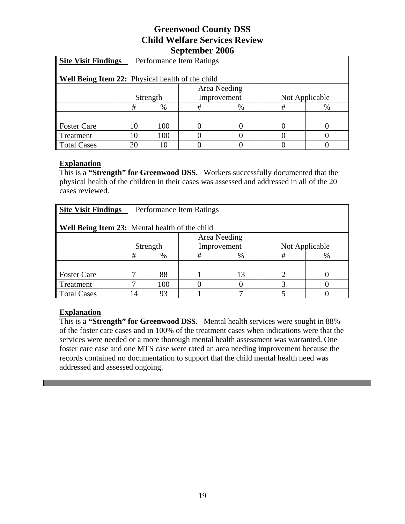| <b>Site Visit Findings</b><br>Performance Item Ratings |          |      |             |      |                |      |  |  |  |
|--------------------------------------------------------|----------|------|-------------|------|----------------|------|--|--|--|
| Well Being Item 22: Physical health of the child       |          |      |             |      |                |      |  |  |  |
| Area Needing                                           |          |      |             |      |                |      |  |  |  |
|                                                        | Strength |      | Improvement |      | Not Applicable |      |  |  |  |
|                                                        | #        | $\%$ | #           | $\%$ | #              | $\%$ |  |  |  |
|                                                        |          |      |             |      |                |      |  |  |  |
| <b>Foster Care</b>                                     | 10       | 100  |             |      |                |      |  |  |  |
| Treatment                                              | 10       | 100  |             |      |                |      |  |  |  |
| <b>Total Cases</b>                                     | 20       |      |             |      |                |      |  |  |  |

#### **Explanation**

This is a **"Strength" for Greenwood DSS**. Workers successfully documented that the physical health of the children in their cases was assessed and addressed in all of the 20 cases reviewed.

| <b>Site Visit Findings</b><br>Performance Item Ratings |          |              |             |      |                |      |  |  |
|--------------------------------------------------------|----------|--------------|-------------|------|----------------|------|--|--|
| <b>Well Being Item 23:</b> Mental health of the child  |          |              |             |      |                |      |  |  |
|                                                        |          | Area Needing |             |      |                |      |  |  |
|                                                        | Strength |              | Improvement |      | Not Applicable |      |  |  |
|                                                        | #        | %            | #           | $\%$ | #              | $\%$ |  |  |
|                                                        |          |              |             |      |                |      |  |  |
| <b>Foster Care</b>                                     |          | 88           |             |      |                |      |  |  |
| Treatment                                              |          | 100          |             |      |                |      |  |  |
| <b>Total Cases</b>                                     | 14       | 93           |             |      |                |      |  |  |

## **Explanation**

This is a **"Strength" for Greenwood DSS**. Mental health services were sought in 88% of the foster care cases and in 100% of the treatment cases when indications were that the services were needed or a more thorough mental health assessment was warranted. One foster care case and one MTS case were rated an area needing improvement because the records contained no documentation to support that the child mental health need was addressed and assessed ongoing.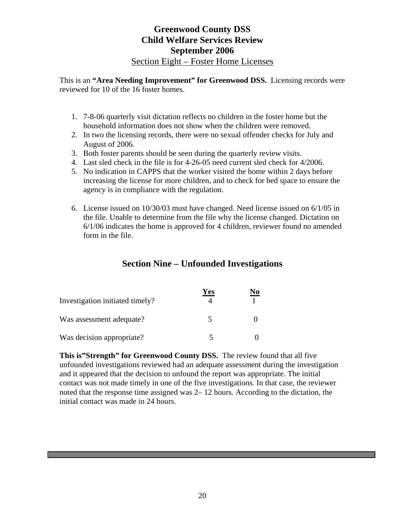## **Greenwood County DSS Child Welfare Services Review September 2006**  Section Eight – Foster Home Licenses

This is an **"Area Needing Improvement" for Greenwood DSS.** Licensing records were reviewed for 10 of the 16 foster homes.

- 1. 7-8-06 quarterly visit dictation reflects no children in the foster home but the household information does not show when the children were removed.
- 2. In two the licensing records, there were no sexual offender checks for July and August of 2006.
- 3. Both foster parents should be seen during the quarterly review visits.
- 4. Last sled check in the file is for 4-26-05 need current sled check for 4/2006.
- 5. No indication in CAPPS that the worker visited the home within 2 days before increasing the license for more children, and to check for bed space to ensure the agency is in compliance with the regulation.
- 6. License issued on 10/30/03 must have changed. Need license issued on 6/1/05 in the file. Unable to determine from the file why the license changed. Dictation on 6/1/06 indicates the home is approved for 4 children, reviewer found no amended form in the file.

# **Section Nine – Unfounded Investigations**

| Investigation initiated timely? | Yes | No |
|---------------------------------|-----|----|
| Was assessment adequate?        |     |    |
| Was decision appropriate?       |     |    |

**This is"Strength" for Greenwood County DSS.** The review found that all five unfounded investigations reviewed had an adequate assessment during the investigation and it appeared that the decision to unfound the report was appropriate. The initial contact was not made timely in one of the five investigations. In that case, the reviewer noted that the response time assigned was 2– 12 hours. According to the dictation, the initial contact was made in 24 hours.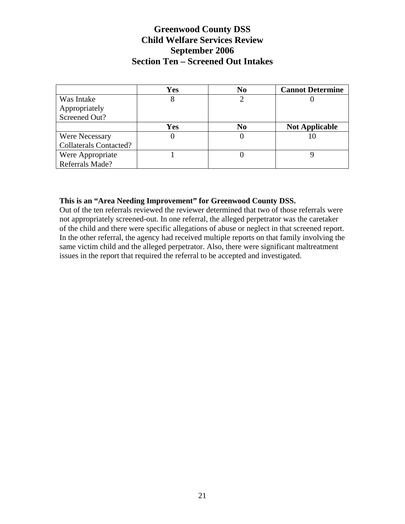# **Greenwood County DSS Child Welfare Services Review September 2006 Section Ten – Screened Out Intakes**

|                               | Yes | N <sub>0</sub> | <b>Cannot Determine</b> |
|-------------------------------|-----|----------------|-------------------------|
| Was Intake                    | 8   |                |                         |
| Appropriately                 |     |                |                         |
| Screened Out?                 |     |                |                         |
|                               | Yes | N0             | <b>Not Applicable</b>   |
| <b>Were Necessary</b>         |     |                |                         |
| <b>Collaterals Contacted?</b> |     |                |                         |
| Were Appropriate              |     |                |                         |
| Referrals Made?               |     |                |                         |

#### **This is an "Area Needing Improvement" for Greenwood County DSS.**

Out of the ten referrals reviewed the reviewer determined that two of those referrals were not appropriately screened-out. In one referral, the alleged perpetrator was the caretaker of the child and there were specific allegations of abuse or neglect in that screened report. In the other referral, the agency had received multiple reports on that family involving the same victim child and the alleged perpetrator. Also, there were significant maltreatment issues in the report that required the referral to be accepted and investigated.